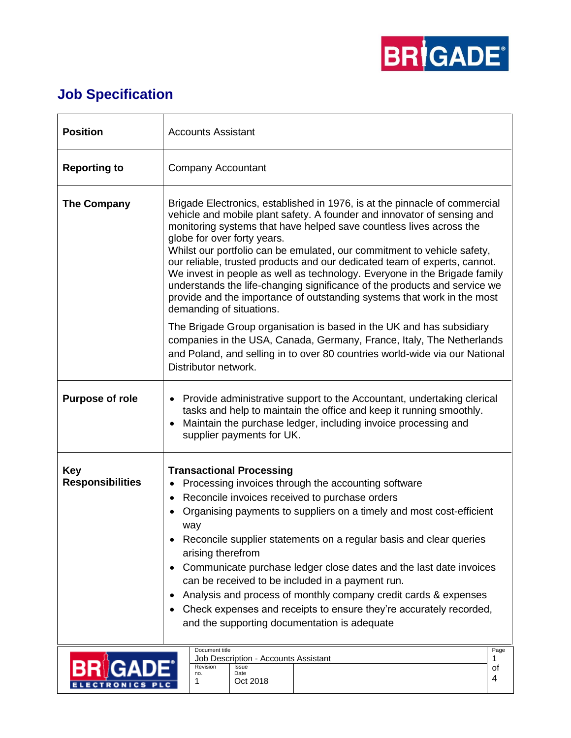

## **Job Specification**

| <b>Position</b>                       | <b>Accounts Assistant</b>                                                                                                                                                                                                                                                                                                                                                                                                                                                                                                                                                                                                                                                            |                 |  |
|---------------------------------------|--------------------------------------------------------------------------------------------------------------------------------------------------------------------------------------------------------------------------------------------------------------------------------------------------------------------------------------------------------------------------------------------------------------------------------------------------------------------------------------------------------------------------------------------------------------------------------------------------------------------------------------------------------------------------------------|-----------------|--|
| <b>Reporting to</b>                   | <b>Company Accountant</b>                                                                                                                                                                                                                                                                                                                                                                                                                                                                                                                                                                                                                                                            |                 |  |
| The Company                           | Brigade Electronics, established in 1976, is at the pinnacle of commercial<br>vehicle and mobile plant safety. A founder and innovator of sensing and<br>monitoring systems that have helped save countless lives across the<br>globe for over forty years.<br>Whilst our portfolio can be emulated, our commitment to vehicle safety,<br>our reliable, trusted products and our dedicated team of experts, cannot.<br>We invest in people as well as technology. Everyone in the Brigade family<br>understands the life-changing significance of the products and service we<br>provide and the importance of outstanding systems that work in the most<br>demanding of situations. |                 |  |
|                                       | The Brigade Group organisation is based in the UK and has subsidiary<br>companies in the USA, Canada, Germany, France, Italy, The Netherlands<br>and Poland, and selling in to over 80 countries world-wide via our National<br>Distributor network.                                                                                                                                                                                                                                                                                                                                                                                                                                 |                 |  |
| <b>Purpose of role</b>                | • Provide administrative support to the Accountant, undertaking clerical<br>tasks and help to maintain the office and keep it running smoothly.<br>Maintain the purchase ledger, including invoice processing and<br>$\bullet$<br>supplier payments for UK.                                                                                                                                                                                                                                                                                                                                                                                                                          |                 |  |
| <b>Key</b><br><b>Responsibilities</b> | <b>Transactional Processing</b><br>Processing invoices through the accounting software<br>Reconcile invoices received to purchase orders<br>$\bullet$<br>Organising payments to suppliers on a timely and most cost-efficient<br>way<br>Reconcile supplier statements on a regular basis and clear queries<br>arising therefrom<br>Communicate purchase ledger close dates and the last date invoices<br>can be received to be included in a payment run.<br>Analysis and process of monthly company credit cards & expenses<br>Check expenses and receipts to ensure they're accurately recorded,<br>٠<br>and the supporting documentation is adequate                              |                 |  |
|                                       | Document title<br>Job Description - Accounts Assistant<br>Revision<br>Issue<br>no.<br>Date<br>Oct 2018<br>1                                                                                                                                                                                                                                                                                                                                                                                                                                                                                                                                                                          | Page<br>οf<br>4 |  |

 $\vert$  1

ELECTRONICS PLC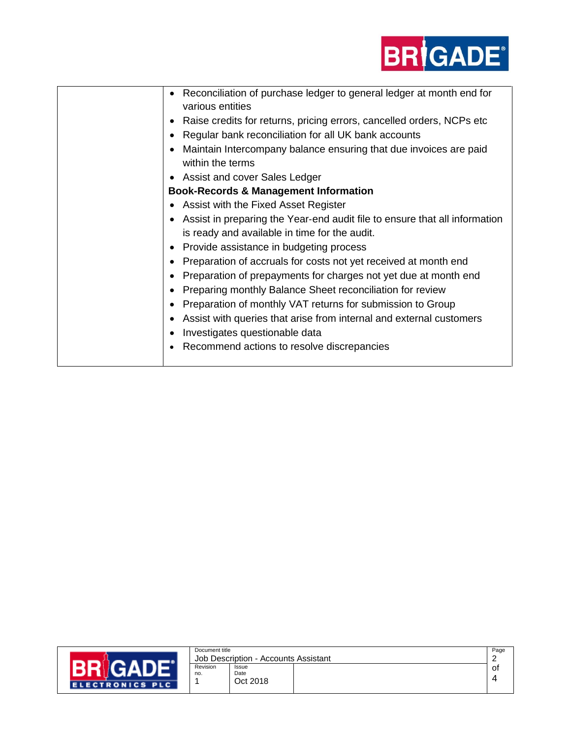

| Reconciliation of purchase ledger to general ledger at month end for<br>various entities |
|------------------------------------------------------------------------------------------|
| Raise credits for returns, pricing errors, cancelled orders, NCPs etc.                   |
| Regular bank reconciliation for all UK bank accounts                                     |
| Maintain Intercompany balance ensuring that due invoices are paid                        |
| within the terms                                                                         |
| Assist and cover Sales Ledger                                                            |
| <b>Book-Records &amp; Management Information</b>                                         |
| Assist with the Fixed Asset Register                                                     |
| Assist in preparing the Year-end audit file to ensure that all information               |
| is ready and available in time for the audit.                                            |
| Provide assistance in budgeting process                                                  |
| Preparation of accruals for costs not yet received at month end                          |
| Preparation of prepayments for charges not yet due at month end                          |
| Preparing monthly Balance Sheet reconciliation for review                                |
| Preparation of monthly VAT returns for submission to Group                               |
| Assist with queries that arise from internal and external customers                      |
| Investigates questionable data                                                           |
| Recommend actions to resolve discrepancies                                               |
|                                                                                          |



|                                      | Document title |          | Page |    |
|--------------------------------------|----------------|----------|------|----|
| Job Description - Accounts Assistant |                |          |      |    |
|                                      | Revision       | Issue    |      | O1 |
|                                      | no.            | Date     |      |    |
|                                      |                | Oct 2018 |      |    |
|                                      |                |          |      |    |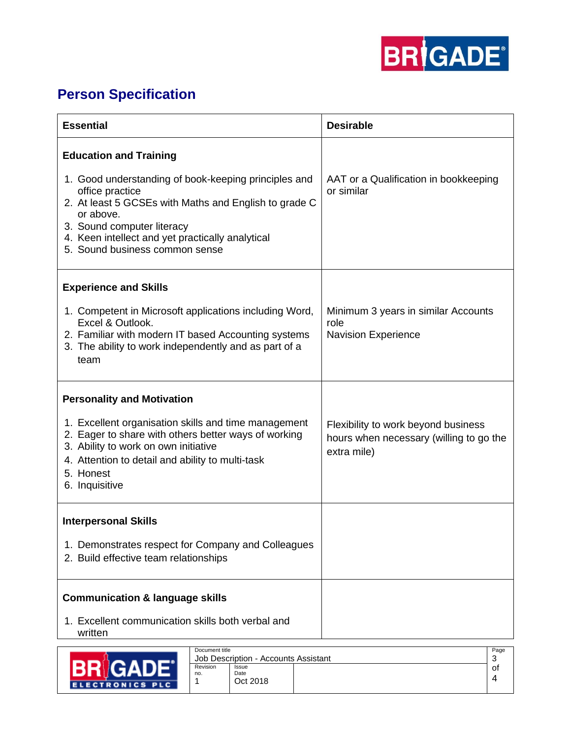

## **Person Specification**

| <b>Essential</b>                                                                                                                                                                                                                                                  | <b>Desirable</b>                                                                              |
|-------------------------------------------------------------------------------------------------------------------------------------------------------------------------------------------------------------------------------------------------------------------|-----------------------------------------------------------------------------------------------|
| <b>Education and Training</b>                                                                                                                                                                                                                                     |                                                                                               |
| 1. Good understanding of book-keeping principles and<br>office practice<br>2. At least 5 GCSEs with Maths and English to grade C<br>or above.<br>3. Sound computer literacy<br>4. Keen intellect and yet practically analytical<br>5. Sound business common sense | AAT or a Qualification in bookkeeping<br>or similar                                           |
| <b>Experience and Skills</b>                                                                                                                                                                                                                                      |                                                                                               |
| 1. Competent in Microsoft applications including Word,<br>Excel & Outlook.<br>2. Familiar with modern IT based Accounting systems<br>3. The ability to work independently and as part of a<br>team                                                                | Minimum 3 years in similar Accounts<br>role<br><b>Navision Experience</b>                     |
| <b>Personality and Motivation</b>                                                                                                                                                                                                                                 |                                                                                               |
| 1. Excellent organisation skills and time management<br>2. Eager to share with others better ways of working<br>3. Ability to work on own initiative<br>4. Attention to detail and ability to multi-task<br>5. Honest<br>6. Inquisitive                           | Flexibility to work beyond business<br>hours when necessary (willing to go the<br>extra mile) |
| <b>Interpersonal Skills</b>                                                                                                                                                                                                                                       |                                                                                               |
| 1. Demonstrates respect for Company and Colleagues<br>2. Build effective team relationships                                                                                                                                                                       |                                                                                               |
| <b>Communication &amp; language skills</b>                                                                                                                                                                                                                        |                                                                                               |
| 1. Excellent communication skills both verbal and<br>written                                                                                                                                                                                                      |                                                                                               |